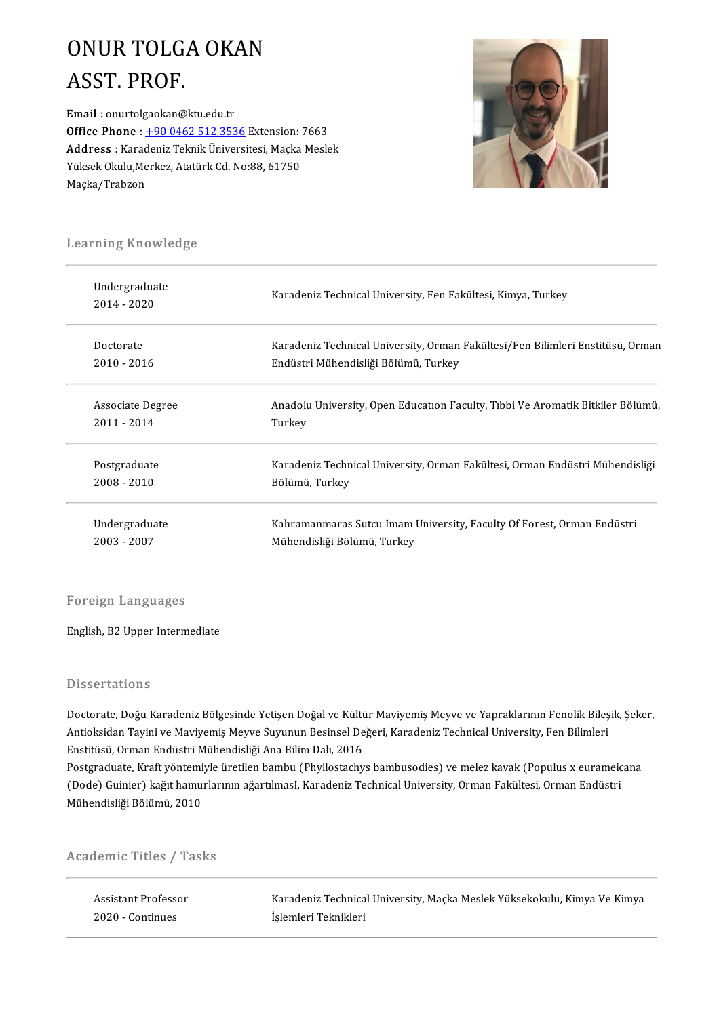### ONURTOLGAOKAN ONUR TOLG.<br>ASST. PROF.<br>Email : onurtolgaokan@

ASST. PROF.<br>Email : onurtolgaokan@ktu.edu.tr<br>Office Phane : 1.90.0462.512.252 Email : onurtolgaokan@ktu.edu.tr<br>Office Phone : <u>+90 0462 512 3536</u> Extension: 7663<br>Address : Karadoniz Telmik Üniversitesi Maska Mesle Email : onurtolgaokan@ktu.edu.tr<br>Office Phone : <u>+90 0462 512 3536</u> Extension: 7663<br>Address : Karadeniz Teknik Üniversitesi, Maçka Meslek<br><sup>Vülgok Okulu Merkeg, Atatürk Cd, No:88, 61750</sup> Office Phone : <u>+90 0462 512 3536</u> Extension:<br>Address : Karadeniz Teknik Üniversitesi, Maçka<br>Yüksek Okulu,Merkez, Atatürk Cd. No:88, 61750<br>Macka (Trabsen Address : Karadeniz Teknik Üniversitesi, Maçka Meslek<br>Yüksek Okulu,Merkez, Atatürk Cd. No:88, 61750<br>Maçka/Trabzon



# . . . .<br>Learning Knowledge

| Learning Knowledge           |                                                                                |  |  |
|------------------------------|--------------------------------------------------------------------------------|--|--|
| Undergraduate<br>2014 - 2020 | Karadeniz Technical University, Fen Fakültesi, Kimya, Turkey                   |  |  |
| Doctorate                    | Karadeniz Technical University, Orman Fakültesi/Fen Bilimleri Enstitüsü, Orman |  |  |
| $2010 - 2016$                | Endüstri Mühendisliği Bölümü, Turkey                                           |  |  |
| Associate Degree             | Anadolu University, Open Education Faculty, Tibbi Ve Aromatik Bitkiler Bölümü, |  |  |
| $2011 - 2014$                | Turkey                                                                         |  |  |
| Postgraduate                 | Karadeniz Technical University, Orman Fakültesi, Orman Endüstri Mühendisliği   |  |  |
| 2008 - 2010                  | Bölümü, Turkey                                                                 |  |  |
| Undergraduate                | Kahramanmaras Sutcu Imam University, Faculty Of Forest, Orman Endüstri         |  |  |
| 2003 - 2007                  | Mühendisliği Bolümu, Turkey                                                    |  |  |

#### Foreign Languages

English,B2Upper Intermediate

#### Dissertations

Doctorate, Doğu Karadeniz Bölgesinde Yetişen Doğal ve Kültür Maviyemiş Meyve ve Yapraklarının Fenolik Bileşik, Şeker, Basser tatronis<br>Doctorate, Doğu Karadeniz Bölgesinde Yetişen Doğal ve Kültür Maviyemiş Meyve ve Yapraklarının Fenolik Bileş<br>Antioksidan Tayini ve Maviyemiş Meyve Suyunun Besinsel Değeri, Karadeniz Technical University, Fen Doctorate, Doğu Karadeniz Bölgesinde Yetişen Doğal ve Kültü<br>Antioksidan Tayini ve Maviyemiş Meyve Suyunun Besinsel De<br>Enstitüsü, Orman Endüstri Mühendisliği Ana Bilim Dalı, 2016<br>Pestanaduate Kraft vöntemiyle ünstilen bembu Antioksidan Tayini ve Maviyemiş Meyve Suyunun Besinsel Değeri, Karadeniz Technical University, Fen Bilimleri<br>Enstitüsü, Orman Endüstri Mühendisliği Ana Bilim Dalı, 2016<br>Postgraduate, Kraft yöntemiyle üretilen bambu (Phyllo

Enstitüsü, Orman Endüstri Mühendisliği Ana Bilim Dalı, 2016<br>Postgraduate, Kraft yöntemiyle üretilen bambu (Phyllostachys bambusodies) ve melez kavak (Populus x eurameic<br>(Dode) Guinier) kağıt hamurlarının ağartılmasI, Karad Postgraduate, Kraft yöntemi<br>(Dode) Guinier) kağıt hamu<br>Mühendisliği Bölümü, 2010

# munenaisiigi Boiumu, 2010<br>Academic Titles / Tasks

| cademic Titles / Tasks |                                                                          |  |  |
|------------------------|--------------------------------------------------------------------------|--|--|
| Assistant Professor    | Karadeniz Technical University, Macka Meslek Yüksekokulu, Kimya Ve Kimya |  |  |
| 2020 Continues         | İşlemleri Teknikleri                                                     |  |  |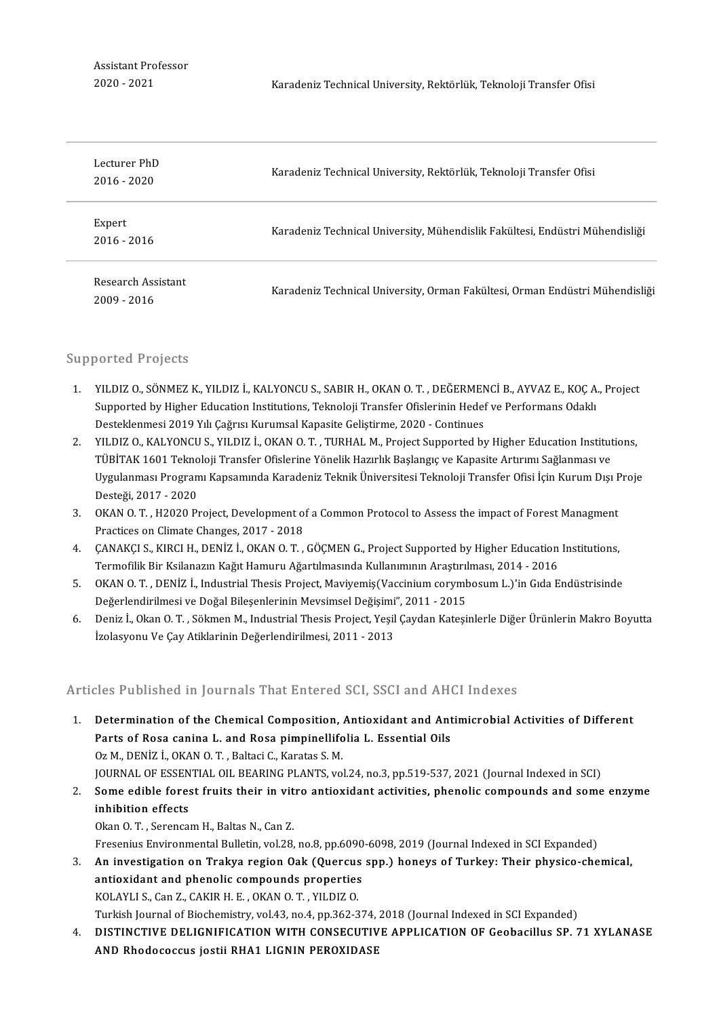Assistant Professor<br>2020 - 2021

| Lecturer PhD<br>$2016 - 2020$     | Karadeniz Technical University, Rektörlük, Teknoloji Transfer Ofisi          |
|-----------------------------------|------------------------------------------------------------------------------|
| Expert<br>2016 - 2016             | Karadeniz Technical University, Mühendislik Fakültesi, Endüstri Mühendisliği |
| Research Assistant<br>2009 - 2016 | Karadeniz Technical University, Orman Fakültesi, Orman Endüstri Mühendisliği |

#### Supported Projects

- upported Projects<br>1. YILDIZ 0., SÖNMEZ K., YILDIZ İ., KALYONCU S., SABIR H., OKAN 0. T. , DEĞERMENCİ B., AYVAZ E., KOÇ A., Project<br>Sunnanted by Hisber Education Institutions. Telmoloji Transfer Ofislarinin Hedef ve Perform Sorted Frojeets<br>YILDIZ O., SÖNMEZ K., YILDIZ İ., KALYONCU S., SABIR H., OKAN O. T. , DEĞERMENCİ B., AYVAZ E., KOÇ A.<br>Supported by Higher Education Institutions, Teknoloji Transfer Ofislerinin Hedef ve Performans Odaklı<br>Des YILDIZ O., SÖNMEZ K., YILDIZ İ., KALYONCU S., SABIR H., OKAN O. T. , DEĞERMEN<br>Supported by Higher Education Institutions, Teknoloji Transfer Ofislerinin Hedef<br>Desteklenmesi 2019 Yılı Çağrısı Kurumsal Kapasite Geliştirme, 2 2. Supported by Higher Education Institutions, Teknoloji Transfer Ofislerinin Hedef ve Performans Odaklı<br>1. Desteklenmesi 2019 Yılı Çağrısı Kurumsal Kapasite Geliştirme, 2020 - Continues<br>2. YILDIZ O., KALYONCU S., YILDIZ İ
- Desteklenmesi 2019 Yılı Çağrısı Kurumsal Kapasite Geliştirme, 2020 Continues<br>YILDIZ O., KALYONCU S., YILDIZ İ., OKAN O. T. , TURHAL M., Project Supported by Higher Education Institut<br>TÜBİTAK 1601 Teknoloji Transfer Ofisl YILDIZ O., KALYONCU S., YILDIZ İ., OKAN O. T. , TURHAL M., Project Supported by Higher Education Institutions,<br>TÜBİTAK 1601 Teknoloji Transfer Ofislerine Yönelik Hazırlık Başlangıç ve Kapasite Artırımı Sağlanması ve<br>Uygula TÜBİTAK 1601 Tekno<br>Uygulanması Progran<br>Desteği, 2017 - 2020<br>OKAN O.T. - H2020 B. Uygulanması Programı Kapsamında Karadeniz Teknik Üniversitesi Teknoloji Transfer Ofisi İçin Kurum Dışı F<br>Desteği, 2017 - 2020<br>3. OKAN O.T. , H2020 Project, Development of a Common Protocol to Assess the impact of Forest Ma
- Desteği, 2017 2020<br>OKAN O. T. , H2020 Project, Development o<br>Practices on Climate Changes, 2017 2018<br>CANAKCLS, KIRCLH, DENIZ İ. OKAN O. T 3. OKAN O.T., H2020 Project, Development of a Common Protocol to Assess the impact of Forest Managment<br>Practices on Climate Changes, 2017 - 2018<br>4. CANAKÇI S., KIRCI H., DENİZ İ., OKAN O.T., GÖÇMEN G., Project Supported by
- Practices on Climate Changes, 2017 2018<br>ÇANAKÇI S., KIRCI H., DENİZ İ., OKAN O. T. , GÖÇMEN G., Project Supported by Higher Education<br>Termofilik Bir Ksilanazın Kağıt Hamuru Ağartılmasında Kullanımının Araştırılması, 2014 5. CANAKÇI S., KIRCI H., DENİZ İ., OKAN O.T., GÖÇMEN G., Project Supported by Higher Education Institutions,<br>1991 Termofilik Bir Ksilanazın Kağıt Hamuru Ağartılmasında Kullanımının Araştırılması, 2014 - 2016<br>5. OKAN O.T.,
- Termofilik Bir Ksilanazın Kağıt Hamuru Ağartılmasında Kullanımının Araştırılması, 2014 2016<br>OKAN O. T. , DENİZ İ., Industrial Thesis Project, Maviyemiş(Vaccinium corymbosum L.)'in Gıda Endüstrisinde<br>Değerlendirilmesi ve 5. OKAN O.T., DENİZ İ., Industrial Thesis Project, Maviyemiş (Vaccinium corymbosum L.)'in Gıda Endüstrisinde<br>Değerlendirilmesi ve Doğal Bileşenlerinin Mevsimsel Değişimi", 2011 - 2015<br>6. Deniz İ., Okan O.T., Sökmen M., Ind
- Değerlendirilmesi ve Doğal Bileşenlerinin Mevsimsel Değişimi<br>Deniz İ., Okan O. T. , Sökmen M., Industrial Thesis Project, Yeşil<br>İzolasyonu Ve Çay Atiklarinin Değerlendirilmesi, 2011 2013

### İzolasyonu Ve Çay Atiklarinin Değerlendirilmesi, 2011 - 2013<br>Articles Published in Journals That Entered SCI, SSCI and AHCI Indexes

- Fichtlands and School in Journals That Entered SCI, SSCI and AHCI Indexes<br>1. Determination of the Chemical Composition, Antioxidant and Antimicrobial Activities of Different<br>Parts of Passa sanina Land Passa nimpipalifolia Determination of the Chemical Composition, Antioxidant and Ant<br>Parts of Rosa canina L. and Rosa pimpinellifolia L. Essential Oils<br>Oz M. DENIZ L. OZAN O. T. Paltaci C. Karatas S. M Determination of the Chemical Composition,<br>Parts of Rosa canina L. and Rosa pimpinellifo<br>Oz M., DENİZ İ., OKAN O.T., Baltaci C., Karatas S.M.<br>JOUPMAL OF ESSENTIAL OU PEARINC BLANTS, VO Parts of Rosa canina L. and Rosa pimpinellifolia L. Essential Oils<br>Oz M., DENİZ İ., OKAN O. T. , Baltaci C., Karatas S. M.<br>JOURNAL OF ESSENTIAL OIL BEARING PLANTS, vol.24, no.3, pp.519-537, 2021 (Journal Indexed in SCI)<br>So 0z M., DENİZ İ., OKAN O. T. , Baltaci C., Karatas S. M.<br>JOURNAL OF ESSENTIAL OIL BEARING PLANTS, vol.24, no.3, pp.519-537, 2021 (Journal Indexed in SCI)<br>2. Some edible forest fruits their in vitro antioxidant activities, p
- **jOURNAL OF ESSEN<br>Some edible fores<br>inhibition effects** Some edible forest fruits their in vit<br>inhibition effects<br>Okan O. T. , Serencam H., Baltas N., Can Z.<br>Enecapius Environmental Bulletin vel 38 inhibition effects<br>Okan O. T. , Serencam H., Baltas N., Can Z.<br>Fresenius Environmental Bulletin, vol.28, no.8, pp.6090-6098, 2019 (Journal Indexed in SCI Expanded)

9. Okan O. T. , Serencam H., Baltas N., Can Z.<br>5. Fresenius Environmental Bulletin, vol.28, no.8, pp.6090-6098, 2019 (Journal Indexed in SCI Expanded)<br>3. An investigation on Trakya region Oak (Quercus spp.) honeys of Turke Fresenius Environmental Bulletin, vol.28, no.8, pp.6090<br>An investigation on Trakya region Oak (Quercus<br>antioxidant and phenolic compounds properties<br>KOLAYLLS, Can.7, CAKIP H.E., OKAN O.T., VU DIZ O. An investigation on Trakya region Oak (Quercus<br>antioxidant and phenolic compounds properties<br>KOLAYLI S., Can Z., CAKIR H. E. , OKAN O. T. , YILDIZ O.<br>Turkish Journal of Bioshamistry, vol.42, no.4, np.362-2 antioxidant and phenolic compounds properties<br>KOLAYLI S., Can Z., CAKIR H. E. , OKAN O. T. , YILDIZ O.<br>Turkish Journal of Biochemistry, vol.43, no.4, pp.362-374, 2018 (Journal Indexed in SCI Expanded)

KOLAYLI S., Can Z., CAKIR H. E. , OKAN O. T. , YILDIZ O.<br>Turkish Journal of Biochemistry, vol.43, no.4, pp.362-374, 2018 (Journal Indexed in SCI Expanded)<br>4. DISTINCTIVE DELIGNIFICATION WITH CONSECUTIVE APPLICATION OF Geob Turkish Journal of Biochemistry, vol.43, no.4, pp.362-374,<br>DISTINCTIVE DELIGNIFICATION WITH CONSECUTIV<br>AND Rhodococcus jostii RHA1 LIGNIN PEROXIDASE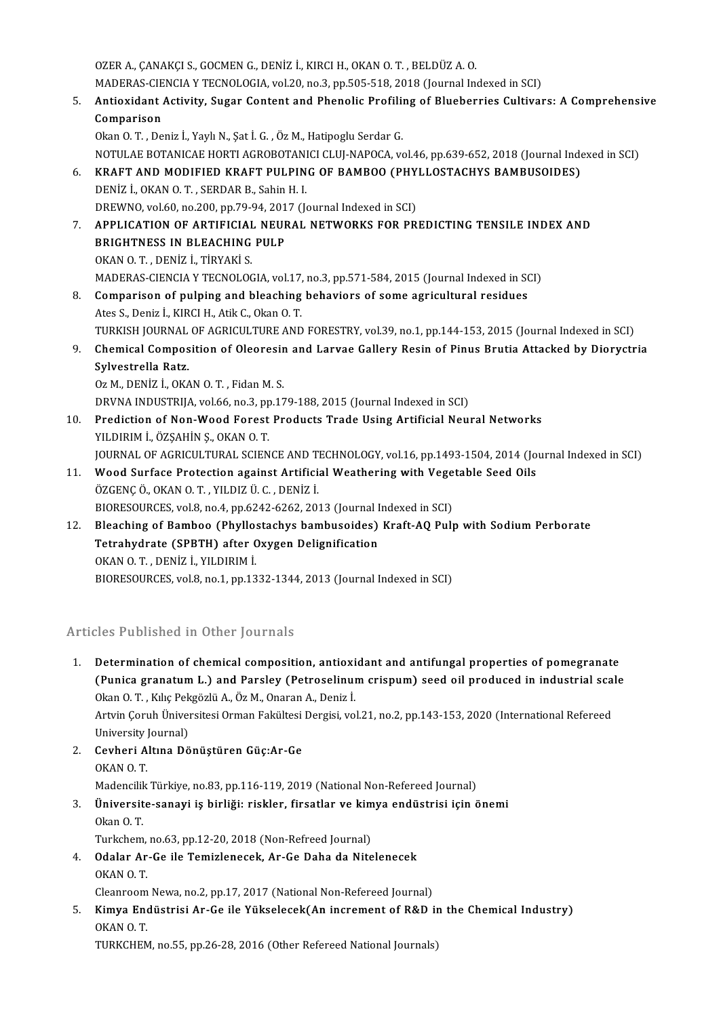OZERA.,ÇANAKÇIS.,GOCMENG.,DENİZ İ.,KIRCIH.,OKANO.T. ,BELDÜZA.O. OZER A., ÇANAKÇI S., GOCMEN G., DENİZ İ., KIRCI H., OKAN O. T. , BELDÜZ A. O.<br>MADERAS-CIENCIA Y TECNOLOGIA, vol.20, no.3, pp.505-518, 2018 (Journal Indexed in SCI)<br>Antiovident Astivity, Suger Content and Phanelia Prefiling 5. Antioxidant Activity, Sugar Content and Phenolic Profiling of Blueberries Cultivars: A Comprehensive MADERAS-CIE<br>Antioxidant<br>Comparison<br>Clean O.T., De Okan O.T., Deniz İ., Yaylı N., Şat İ.G., Öz M., Hatipoglu Serdar G. NOTULAEBOTANICAEHORTIAGROBOTANICICLUJ-NAPOCA,vol.46,pp.639-652,2018(Journal IndexedinSCI) 0kan O. T. , Deniz İ., Yaylı N., Şat İ. G. , Öz M., Hatipoglu Serdar G.<br>NOTULAE BOTANICAE HORTI AGROBOTANICI CLUJ-NAPOCA, vol.46, pp.639-652, 2018 (Journal Inde<br>6. KRAFT AND MODIFIED KRAFT PULPING OF BAMBOO (PHYLLOSTAC NOTULAE BOTANICAE HORTI AGROBOTANI<br>**KRAFT AND MODIFIED KRAFT PULPIN<br>DENİZ İ., OKAN O. T. , SERDAR B., Sahin H. I.**<br>DREWNO. vol 60, no 200, nn 79,94, 2017 (L KRAFT AND MODIFIED KRAFT PULPING OF BAMBOO (PHY<br>DENİZ İ., OKAN O. T. , SERDAR B., Sahin H. I.<br>DREWNO, vol.60, no.200, pp.79-94, 2017 (Journal Indexed in SCI)<br>APRI ICATION OF ARTIEICIAL NEURAL NETWORKS EOR PR DENİZ İ., OKAN O. T. , SERDAR B., Sahin H. I.<br>DREWNO, vol.60, no.200, pp.79-94, 2017 (Journal Indexed in SCI)<br>7. APPLICATION OF ARTIFICIAL NEURAL NETWORKS FOR PREDICTING TENSILE INDEX AND<br>PRICHTNESS IN BLEACHING PIU P DREWNO, vol.60, no.200, pp.79-94, 2017 (Journal Indexed in SCI)<br>APPLICATION OF ARTIFICIAL NEURAL NETWORKS FOR PR<br>BRIGHTNESS IN BLEACHING PULP<br>OKAN O. T. . DENIZ I.. TIRYAKI S. APPLICATION OF ARTIFICIAL<br>BRIGHTNESS IN BLEACHING<br>OKAN O.T., DENİZ İ., TİRYAKİ S.<br>MADERAS CIENCIA Y TECNOLOG MADERAS-CIENCIA Y TECNOLOGIA, vol.17, no.3, pp.571-584, 2015 (Journal Indexed in SCI) 8. OKAN O.T., DENIZ I., TIRYAKI S.<br>MADERAS-CIENCIA Y TECNOLOGIA, vol.17, no.3, pp.571-584, 2015 (Journal Indexed in SC<br>8. Comparison of pulping and bleaching behaviors of some agricultural residues<br>Ates S. Denis L. KIRCLH, MADERAS-CIENCIA Y TECNOLOGIA, vol.17,<br>Comparison of pulping and bleaching<br>Ates S., Deniz İ., KIRCI H., Atik C., Okan O. T.<br>TURKISH JOURNAL OF ACRICULTURE AND Ates S., Deniz İ., KIRCI H., Atik C., Okan O. T.<br>TURKISH JOURNAL OF AGRICULTURE AND FORESTRY, vol.39, no.1, pp.144-153, 2015 (Journal Indexed in SCI) Ates S., Deniz İ., KIRCI H., Atik C., Okan O. T.<br>TURKISH JOURNAL OF AGRICULTURE AND FORESTRY, vol.39, no.1, pp.144-153, 2015 (Journal Indexed in SCI)<br>9. Chemical Composition of Oleoresin and Larvae Gallery Resin of Pinus TURKISH JOURNAL<br>Chemical Compos<br>Sylvestrella Ratz.<br>Oz M. DEN<sup>iz</sup> İ. O<sup>z</sup> A Chemical Composition of Oleoresir<br>Sylvestrella Ratz.<br>Oz M., DENİZ İ., OKAN O.T., Fidan M.S.<br>DPVNA INDUSTPHA val 66 no 3 nn 17 Sylvestrella Ratz.<br>Oz M., DENİZ İ., OKAN O. T. , Fidan M. S.<br>DRVNA INDUSTRIJA, vol.66, no.3, pp.179-188, 2015 (Journal Indexed in SCI)<br>Predistion of Nan Wood Forest Predusts Trade Heing Artifisial Nau 0z M., DENİZ İ., OKAN O. T. , Fidan M. S.<br>DRVNA INDUSTRIJA, vol.66, no.3, pp.179-188, 2015 (Journal Indexed in SCI)<br>10. Prediction of Non-Wood Forest Products Trade Using Artificial Neural Networks<br>YILDIRIM İ., ÖZSAHİN Ş., DRVNA INDUSTRIJA, vol.66, no.3, pp<br>Prediction of Non-Wood Forest<br>YILDIRIM İ., ÖZŞAHİN Ş., OKAN O. T.<br>JOUPNAL OF ACRICULTIRAL SCIEN Prediction of Non-Wood Forest Products Trade Using Artificial Neural Networks<br>YILDIRIM İ., ÖZŞAHİN Ş., OKAN O. T.<br>JOURNAL OF AGRICULTURAL SCIENCE AND TECHNOLOGY, vol.16, pp.1493-1504, 2014 (Journal Indexed in SCI)<br>Wood Sur 11. YILDIRIM İ., ÖZŞAHİN Ş., OKAN O. T.<br>11. Wood Surface Protection against Artificial Weathering with Vegetable Seed Oils<br>11. Wood Surface Protection against Artificial Weathering with Vegetable Seed Oils JOURNAL OF AGRICULTURAL SCIENCE AND T<br>Wood Surface Protection against Artificia<br>ÖZGENÇ Ö., OKAN O. T. , YILDIZ Ü. C. , DENİZ İ.<br>PIOPESOUPCES .vol <sup>9</sup>. no.4. nn.6242,6262,202 Wood Surface Protection against Artificial Weathering with Vege<br>ÖZGENÇ Ö., OKAN O. T. , YILDIZ Ü. C. , DENİZ İ.<br>BIORESOURCES, vol.8, no.4, pp.6242-6262, 2013 (Journal Indexed in SCI)<br>Bloaching of Bambae, (Phyllostashys bam ÖZGENÇ Ö., OKAN O. T., YILDIZ Ü. C., DENİZ İ.<br>BIORESOURCES, vol.8, no.4, pp.6242-6262, 2013 (Journal Indexed in SCI)<br>12. Bleaching of Bamboo (Phyllostachys bambusoides) Kraft-AQ Pulp with Sodium Perborate<br>Tetrebydrate (SBB BIORESOURCES, vol.8, no.4, pp.6242-6262, 2013 (Journal I<br>Bleaching of Bamboo (Phyllostachys bambusoides)<br>Tetrahydrate (SPBTH) after Oxygen Delignification<br>OKAN O.T. DENIZ L.YU DIPIM İ Bleaching of Bamboo (Phyllo:<br>Tetrahydrate (SPBTH) after C<br>OKAN O.T., DENİZ İ., YILDIRIM İ.<br>PIOPESOUPCES .vol 9. no.1. nn.12 Tetrahydrate (SPBTH) after Oxygen Delignification<br>OKAN O. T., DENİZ İ., YILDIRIM İ.<br>BIORESOURCES, vol.8, no.1, pp.1332-1344, 2013 (Journal Indexed in SCI)

### Articles Published in Other Journals

1. Determination of chemical composition, antioxidant and antifungal properties of pomegranate (Punica distinct in Strict Journals)<br>Determination of chemical composition, antioxidant and antifungal properties of pomegranate<br>Clien O.T., Kike Bekeëzki A. Öz M. Oparan A. Deniz i Determination of chemical composition, antioxi<br>(Punica granatum L.) and Parsley (Petroselinui<br>Okan O. T. , Kılıç Pekgözlü A., Öz M., Onaran A., Deniz İ.<br>Artvin Corub Üniversitesi Orman Fakültesi Dergisi ve (Punica granatum L.) and Parsley (Petroselinum crispum) seed oil produced in industrial sca<br>Okan O. T. , Kılıç Pekgözlü A., Öz M., Onaran A., Deniz İ.<br>Artvin Çoruh Üniversitesi Orman Fakültesi Dergisi, vol.21, no.2, pp.143 Okan O. T. , Kılıç Pekgözlü A., Öz M., Onaran A., Deniz İ.<br>Artvin Çoruh Üniversitesi Orman Fakültesi Dergisi, vol.21, no.2, pp.143-153, 2020 (International Refereed<br>University Journal) Artvin Çoruh Üniversitesi Orman Fakültesi<br>University Journal)<br>2. Cevheri Altına Dönüştüren Güç:Ar-Ge University ]<br>Cevheri A<br>OKAN O. T.<br>Madensilik Cevheri Altına Dönüştüren Güç:Ar-Ge<br>OKAN O. T.<br>Madencilik Türkiye, no.83, pp.116-119, 2019 (National Non-Refereed Journal)<br>Üniversite senavi is birliği: risklar, firsatlar ve kimye endüstrisi isin ö 3. OKAN O. T.<br>3. Madencilik Türkiye, no.83, pp.116-119, 2019 (National Non-Refereed Journal)<br>3. Üniversite-sanayi iş birliği: riskler, firsatlar ve kimya endüstrisi için önemi<br>2. Okan O. T Madencili<mark>i</mark><br>**Üniversit**<br>Okan O. T.<br>Turkehem Üniversite-sanayi iş birliği: riskler, firsatlar ve kim<br>Okan O. T.<br>Turkchem, no.63, pp.12-20, 2018 (Non-Refreed Journal)<br>Odalar Ar Ce ile Tamirlanesek, Ar Ce Daba da Nite 0kan 0. T.<br>Turkchem, no.63, pp.12-20, 2018 (Non-Refreed Journal)<br>4. Odalar Ar-Ge ile Temizlenecek, Ar-Ge Daha da Nitelenecek<br>0KAN 0. T. Turkchem, no 63, pp 12-20, 2018 (Non-Refreed Journal) Cleanroom Newa, no.2, pp.17, 2017 (National Non-Refereed Journal) OKAN O. T.<br>Cleanroom Newa, no.2, pp.17, 2017 (National Non-Refereed Journal)<br>5. Kimya Endüstrisi Ar-Ge ile Yükselecek(An increment of R&D in the Chemical Industry)<br>OKAN O. T

### Cleanroom<br><mark>Kimya Eno</mark><br>OKAN O. T.<br>TUD*VC*HEN Ki<mark>mya Endüstrisi Ar-Ge ile Yükselecek(An increment of R&D ir</mark><br>OKAN 0. T.<br>TURKCHEM, no.55, pp.26-28, 2016 (Other Refereed National Journals)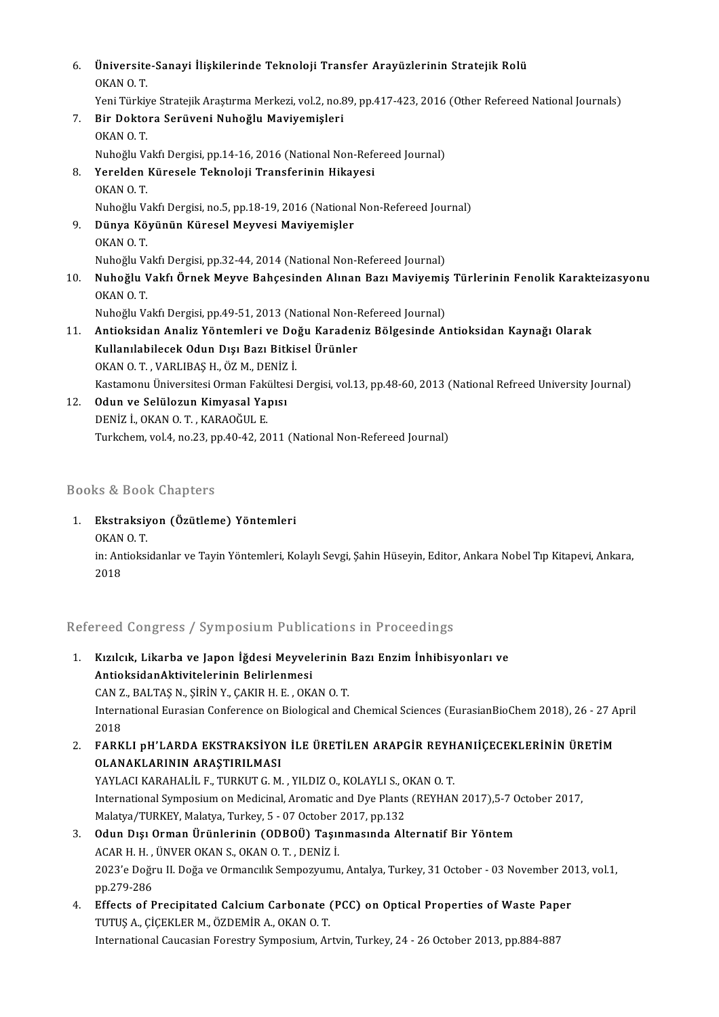| 6.  | Üniversite-Sanayi İlişkilerinde Teknoloji Transfer Arayüzlerinin Stratejik Rolü<br>OKAN OT.                  |
|-----|--------------------------------------------------------------------------------------------------------------|
|     | Yeni Türkiye Stratejik Araştırma Merkezi, vol.2, no.89, pp.417-423, 2016 (Other Refereed National Journals)  |
| 7.  | Bir Doktora Serüveni Nuhoğlu Maviyemişleri                                                                   |
|     | OKAN OT.                                                                                                     |
|     | Nuhoğlu Vakfı Dergisi, pp.14-16, 2016 (National Non-Refereed Journal)                                        |
| 8.  | Yerelden Küresele Teknoloji Transferinin Hikayesi                                                            |
|     | OKAN O.T.                                                                                                    |
|     | Nuhoğlu Vakfı Dergisi, no 5, pp.18-19, 2016 (National Non-Refereed Journal)                                  |
| 9.  | Dünya Köyünün Küresel Meyvesi Maviyemişler                                                                   |
|     | OKAN OT.                                                                                                     |
|     | Nuhoğlu Vakfı Dergisi, pp 32-44, 2014 (National Non-Refereed Journal)                                        |
| 10. | Nuhoğlu Vakfı Örnek Meyve Bahçesinden Alınan Bazı Maviyemiş Türlerinin Fenolik Karakteizasyonu<br>OKAN OT    |
|     | Nuhoğlu Vakfı Dergisi, pp 49-51, 2013 (National Non-Refereed Journal)                                        |
| 11. | Antioksidan Analiz Yöntemleri ve Doğu Karadeniz Bölgesinde Antioksidan Kaynağı Olarak                        |
|     | Kullanılabilecek Odun Dışı Bazı Bitkisel Ürünler                                                             |
|     | OKAN O.T., VARLIBAȘ H., ÖZ M., DENİZ İ.                                                                      |
|     | Kastamonu Üniversitesi Orman Fakültesi Dergisi, vol.13, pp.48-60, 2013 (National Refreed University Journal) |
| 12. | Odun ve Selülozun Kimyasal Yapısı                                                                            |
|     | DENİZ İ., OKAN O. T., KARAOĞUL E.                                                                            |
|     | Turkchem, vol.4, no.23, pp.40-42, 2011 (National Non-Refereed Journal)                                       |

### Books&Book Chapters

<sup>3</sup>ooks & Book Chapters<br>1. Ekstraksiyon (Özütleme) Yöntemleri<br>O<sup>KAN O T</sub></sup> Ekstraksiy<br>Ekstraksiy<br>OKAN 0. T. <mark>Ekstraksiyon (Özütleme) Yöntemleri</mark><br>OKAN O. T.<br>in: Antioksidanlar ve Tayin Yöntemleri, Kolaylı Sevgi, Şahin Hüseyin, Editor, Ankara Nobel Tıp Kitapevi, Ankara, OKAN<br>in: Ant<br>2018

2018<br>Refereed Congress / Symposium Publications in Proceedings

- lefereed Congress / Symposium Publications in Proceedings<br>1. Kızılcık, Likarba ve Japon İğdesi Meyvelerinin Bazı Enzim İnhibisyonları ve<br>AntioksidanAktivitelerinin Belirlenmesi Antioksidan<br>AntioksidanAktivitelerinin Belirlenmesi<br>CAN Z. BALTAS N. SİRİN V. CAKIR H. F. OK Kızılcık, Likarba ve Japon İğdesi Meyvelerinin<br>AntioksidanAktivitelerinin Belirlenmesi<br>CAN Z., BALTAŞ N., ŞİRİN Y., ÇAKIR H. E. , OKAN O. T.<br>International Eurasian Conferense en Biological and AntioksidanAktivitelerinin Belirlenmesi<br>CAN Z., BALTAŞ N., ŞİRİN Y., ÇAKIR H. E. , OKAN O. T.<br>International Eurasian Conference on Biological and Chemical Sciences (EurasianBioChem 2018), 26 - 27 April<br>2018 CAN Z<br>Intern<br>2018<br>EARK International Eurasian Conference on Biological and Chemical Sciences (EurasianBioChem 2018), 26 - 27 A<br>2018<br>2. FARKLI pH'LARDA EKSTRAKSİYON İLE ÜRETİLEN ARAPGİR REYHANIİÇECEKLERİNİN ÜRETİM<br>21 ANAKLARININ ARASTIRILMASI
- 2018<br>FARKLI pH'LARDA EKSTRAKSİYON<br>OLANAKLARININ ARAŞTIRILMASI<br>YAYLACI KARAHALİL E. TURKUT C. M FARKLI pH'LARDA EKSTRAKSIYON ILE ÜRETILEN ARAPGIR REYH<br>OLANAKLARININ ARAŞTIRILMASI<br>YAYLACI KARAHALİL F., TURKUT G. M. , YILDIZ O., KOLAYLI S., OKAN O. T.<br>International Sumnosium on Modisinal Aromatis and Duo Plants (REYHAN OLANAKLARININ ARAŞTIRILMASI<br>YAYLACI KARAHALİL F., TURKUT G. M. , YILDIZ O., KOLAYLI S., OKAN O. T.<br>International Symposium on Medicinal, Aromatic and Dye Plants (REYHAN 2017),5-7 October 2017,<br>Malatın (TURKEY, Malatın, Tur YAYLACI KARAHALİL F., TURKUT G. M. , YILDIZ O., KOLAYLI S., O<br>International Symposium on Medicinal, Aromatic and Dye Plants<br>Malatya/TURKEY, Malatya, Turkey, 5 - 07 October 2017, pp.132<br>Odun Dışı Orman Ününlerinin (ODBOÜ), International Symposium on Medicinal, Aromatic and Dye Plants (REYHAN 2017),5-7 C<br>Malatya/TURKEY, Malatya, Turkey, 5 - 07 October 2017, pp.132<br>3. Odun Dışı Orman Ürünlerinin (ODBOÜ) Taşınmasında Alternatif Bir Yöntem<br>ACAB Malatya/TURKEY, Malatya, Turkey, 5 - 07 October<br>Odun Dışı Orman Ürünlerinin (ODBOÜ) Taşır<br>ACAR H. H. , ÜNVER OKAN S., OKAN O. T. , DENİZ İ.<br>2022'e Değmi II. Değe ve Ormangilik Samnegrumu
- Odun Dışı Orman Ürünlerinin (ODBOÜ) Taşınmasında Alternatif Bir Yöntem<br>ACAR H. H. , ÜNVER OKAN S., OKAN O. T. , DENİZ İ.<br>2023'e Doğru II. Doğa ve Ormancılık Sempozyumu, Antalya, Turkey, 31 October 03 November 2013, vol.1 ACAR H. H. ,<br>2023'e Doğr<br>pp.279-286<br>Effects of E 2023'e Doğru II. Doğa ve Ormancılık Sempozyumu, Antalya, Turkey, 31 October - 03 November 20<br>pp.279-286<br>4. Effects of Precipitated Calcium Carbonate (PCC) on Optical Properties of Waste Paper<br>TUTUS A. CICEVI ER M. ÖZDEMİR
- pp.279-286<br>Effects of Precipitated Calcium Carbonate (<br>TUTUŞ A., ÇİÇEKLER M., ÖZDEMİR A., OKAN O. T.<br>International Caucacian Forestru Sumnosium, Ar Effects of Precipitated Calcium Carbonate (PCC) on Optical Properties of Waste Pap<br>TUTUȘ A., ÇİÇEKLER M., ÖZDEMİR A., OKAN O. T.<br>International Caucasian Forestry Symposium, Artvin, Turkey, 24 - 26 October 2013, pp.884-887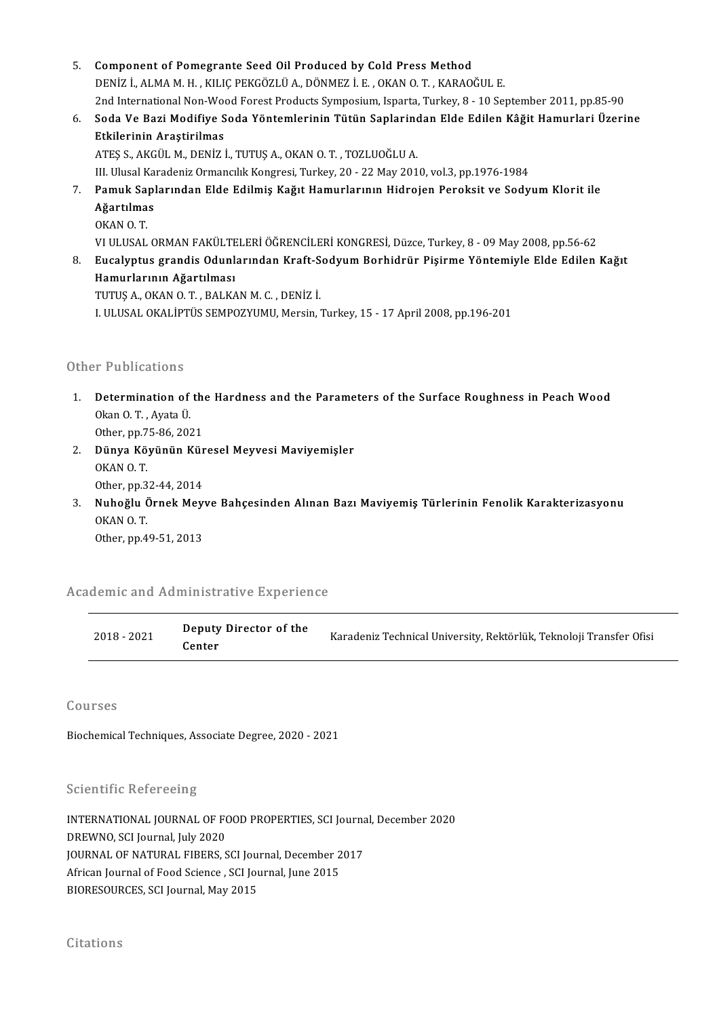- 5. Component of Pomegrante Seed Oil Produced by Cold Press Method DENİZ İ.,ALMAM.H. ,KILIÇPEKGÖZLÜA.,DÖNMEZ İ.E. ,OKANO.T. ,KARAOĞUL E. 2nd International Non-Wood Forest Products Symposium, Isparta, Turkey, 8 - 10 September 2011, pp.85-90 6. DENİZ İ., ALMA M. H. , KILIÇ PEKGÖZLÜ A., DÖNMEZ İ. E. , OKAN O. T. , KARAOĞUL E.<br>2nd International Non-Wood Forest Products Symposium, Isparta, Turkey, 8 - 10 September 2011, pp.85-90<br>6. Soda Ve Bazi Modifiye Soda
- 2nd International Non-Woo<br>Soda Ve Bazi Modifiye S<br>Etkilerinin Araştirilmas<br>ATES S AKÇÜL M. DENİZİ Soda Ve Bazi Modifiye Soda Yöntemlerinin Tütün Saplarind<br>Etkilerinin Araştirilmas<br>ATEŞ S., AKGÜL M., DENİZ İ., TUTUŞ A., OKAN O.T. , TOZLUOĞLU A.<br>III Illusal Karadaniz Ormansılık Kanaresi Turkov 20, 22 Mav 201 <mark>Etkilerinin Araştirilmas</mark><br>ATEŞ S., AKGÜL M., DENİZ İ., TUTUŞ A., OKAN O. T. , TOZLUOĞLU A.<br>III. Ulusal Karadeniz Ormancılık Kongresi, Turkey, 20 - 22 May 2010, vol.3, pp.1976-1984<br>Pamuk Sanlarından Elde Edilmiş Kağıt Hamu

ATEŞ S., AKGÜL M., DENİZ İ., TUTUŞ A., OKAN O. T. , TOZLUOĞLU A.<br>III. Ulusal Karadeniz Ormancılık Kongresi, Turkey, 20 - 22 May 2010, vol.3, pp.1976-1984<br>7. Pamuk Saplarından Elde Edilmiş Kağıt Hamurlarının Hidrojen Pe III. Ulusal Ka<br><mark>Pamuk Sap</mark>l<br>Ağartılmas<br>O<sup>KAN O T</sup> Pamuk Sa<sub>l</sub><br>Ağartılma<br>OKAN O. T.<br>VUU USAL <mark>Ağartılmas</mark><br>OKAN O. T.<br>VI ULUSAL ORMAN FAKÜLTELERİ ÖĞRENCİLERİ KONGRESİ, Düzce, Turkey, 8 - 09 May 2008, pp.56-62<br>Fusalintus grandis Odunlarından Kraft Soduum Barbidrür Bisirme Yöntemiyle Elde Edilen

8. OKAN O. T.<br>18. VI ULUSAL ORMAN FAKÜLTELERİ ÖĞRENCİLERİ KONGRESİ, Düzce, Turkey, 8 - 09 May 2008, pp.56-62<br>18. Eucalyptus grandis Odunlarından Kraft-Sodyum Borhidrür Pişirme Yöntemiyle Elde Edilen Kağıt<br>18. Hamurlarının VI ULUSAL ORMAN FAKÜLTE<br>Eucalyptus grandis Odunl<br>Hamurlarının Ağartılması<br>TUTUS A. OKAN O.T. BALKA

TUTUŞA.,OKANO.T. ,BALKANM.C. ,DENİZ İ.

I. ULUSAL OKALIPTÜS SEMPOZYUMU, Mersin, Turkey, 15 - 17 April 2008, pp.196-201

### Other Publications

)ther Publications<br>1. Determination of the Hardness and the Parameters of the Surface Roughness in Peach Wood<br>Qkan Q.T. Ayata <sup>(i</sup> Determination<br>Determination of<br>Okan O. T. , Ayata Ü.<br>Other pp 75, 86, 202 Determination of the<br>Okan O. T. , Ayata Ü.<br>Other, pp.75-86, 2021<br>Dünya Köyünün Kür

- 0kan O. T. , Ayata Ü.<br>2. Dünya Köyünün Küresel Meyvesi Maviyemişler<br>2. Dünya Köyünün Küresel Meyvesi Maviyemişler Other, pp.7<br>Dünya Kö<sub>.</sub><br>OKAN O. T.<br>Other, pp.3 Dünya Köyünün Kür<br>OKAN O. T.<br>Other, pp.32-44, 2014<br>Nuhoğlu Örnek Mevr
- 0KAN 0. T.<br>0ther, pp.32-44, 2014<br>3. Nuhoğlu Örnek Meyve Bahçesinden Alınan Bazı Maviyemiş Türlerinin Fenolik Karakterizasyonu<br>0KAN 0 T Other, pp.3<br>Nuhoğlu (<br>OKAN O. T.<br>Other, pp.4 Nuhoğlu Örnek Mey<br>OKAN O. T.<br>Other, pp.49-51, 2013

omer, pp.49-51, 2013<br>Academic and Administrative Experience

| demic and Administrative Experience |                                  |                                                                     |  |  |  |
|-------------------------------------|----------------------------------|---------------------------------------------------------------------|--|--|--|
| 2018 - 2021                         | Deputy Director of the<br>Center | Karadeniz Technical University, Rektörlük, Teknoloji Transfer Ofisi |  |  |  |

Courses

Biochemical Techniques, Associate Degree, 2020 - 2021

**Scientific Refereeing** 

Scientific Refereeing<br>INTERNATIONAL JOURNAL OF FOOD PROPERTIES, SCI Journal, December 2020<br>RREWNO SCI Journal July 2020 DECENTIFY REFERENCES<br>INTERNATIONAL JOURNAL OF FO<br>DREWNO, SCI Journal, July 2020<br>JOURNAL OF NATURAL FIBERS INTERNATIONAL JOURNAL OF FOOD PROPERTIES, SCI Journa<br>DREWNO, SCI Journal, July 2020<br>JOURNAL OF NATURAL FIBERS, SCI Journal, December 2017<br>Afrisan Journal of Eood Ssiance, SCI Journal, December 2017 DREWNO, SCI Journal, July 2020<br>JOURNAL OF NATURAL FIBERS, SCI Journal, December 2<br>African Journal of Food Science , SCI Journal, June 2015<br>RIORESOURCES, SCI Journal, May 2015 JOURNAL OF NATURAL FIBERS, SCI Jou:<br>African Journal of Food Science , SCI Jou<br>BIORESOURCES, SCI Journal, May 2015 BIORESOURCES, SCI Journal, May 2015<br>Citations